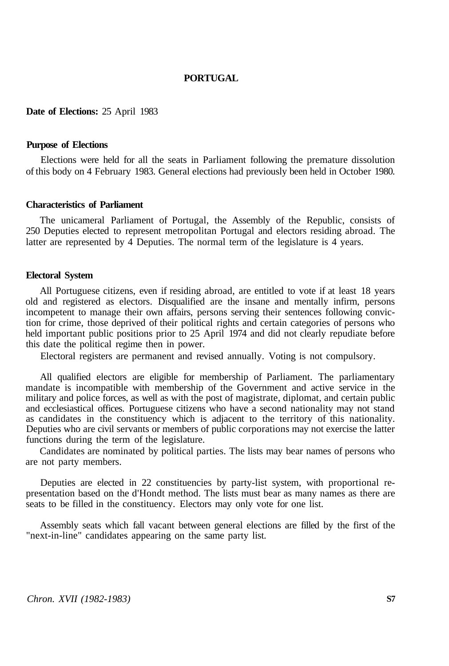# **PORTUGAL**

### **Date of Elections:** 25 April 1983

#### **Purpose of Elections**

Elections were held for all the seats in Parliament following the premature dissolution of this body on 4 February 1983. General elections had previously been held in October 1980.

### **Characteristics of Parliament**

The unicameral Parliament of Portugal, the Assembly of the Republic, consists of 250 Deputies elected to represent metropolitan Portugal and electors residing abroad. The latter are represented by 4 Deputies. The normal term of the legislature is 4 years.

#### **Electoral System**

All Portuguese citizens, even if residing abroad, are entitled to vote if at least 18 years old and registered as electors. Disqualified are the insane and mentally infirm, persons incompetent to manage their own affairs, persons serving their sentences following conviction for crime, those deprived of their political rights and certain categories of persons who held important public positions prior to 25 April 1974 and did not clearly repudiate before this date the political regime then in power.

Electoral registers are permanent and revised annually. Voting is not compulsory.

All qualified electors are eligible for membership of Parliament. The parliamentary mandate is incompatible with membership of the Government and active service in the military and police forces, as well as with the post of magistrate, diplomat, and certain public and ecclesiastical offices. Portuguese citizens who have a second nationality may not stand as candidates in the constituency which is adjacent to the territory of this nationality. Deputies who are civil servants or members of public corporations may not exercise the latter functions during the term of the legislature.

Candidates are nominated by political parties. The lists may bear names of persons who are not party members.

Deputies are elected in 22 constituencies by party-list system, with proportional representation based on the d'Hondt method. The lists must bear as many names as there are seats to be filled in the constituency. Electors may only vote for one list.

Assembly seats which fall vacant between general elections are filled by the first of the "next-in-line" candidates appearing on the same party list.